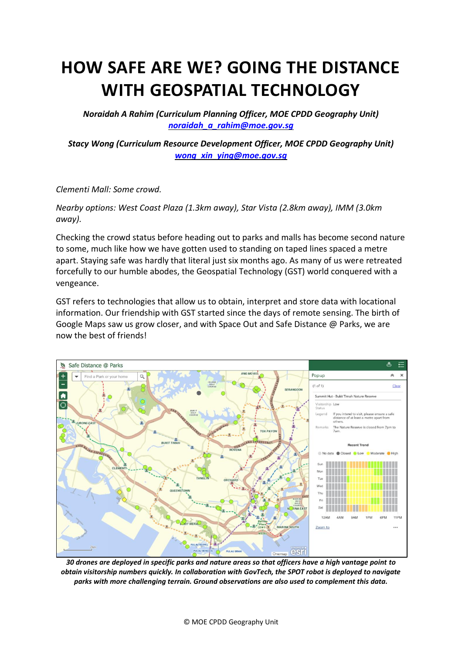# **HOW SAFE ARE WE? GOING THE DISTANCE WITH GEOSPATIAL TECHNOLOGY**

*Noraidah A Rahim (Curriculum Planning Officer, MOE CPDD Geography Unit) [noraidah\\_a\\_rahim@moe.gov.sg](mailto:noraidah_a_rahim@moe.gov.sg)*

*Stacy Wong (Curriculum Resource Development Officer, MOE CPDD Geography Unit) [wong\\_xin\\_ying@moe.gov.sg](mailto:wong_xin_ying@moe.gov.sg)*

*Clementi Mall: Some crowd.*

*Nearby options: West Coast Plaza (1.3km away), Star Vista (2.8km away), IMM (3.0km away).*

Checking the crowd status before heading out to parks and malls has become second nature to some, much like how we have gotten used to standing on taped lines spaced a metre apart. Staying safe was hardly that literal just six months ago. As many of us were retreated forcefully to our humble abodes, the Geospatial Technology (GST) world conquered with a vengeance.

GST refers to technologies that allow us to obtain, interpret and store data with locational information. Our friendship with GST started since the days of remote sensing. The birth of Google Maps saw us grow closer, and with Space Out and Safe Distance @ Parks, we are now the best of friends!



*30 drones are deployed in specific parks and nature areas so that officers have a high vantage point to obtain visitorship numbers quickly. In collaboration with GovTech, the SPOT robot is deployed to navigate parks with more challenging terrain. Ground observations are also used to complement this data.*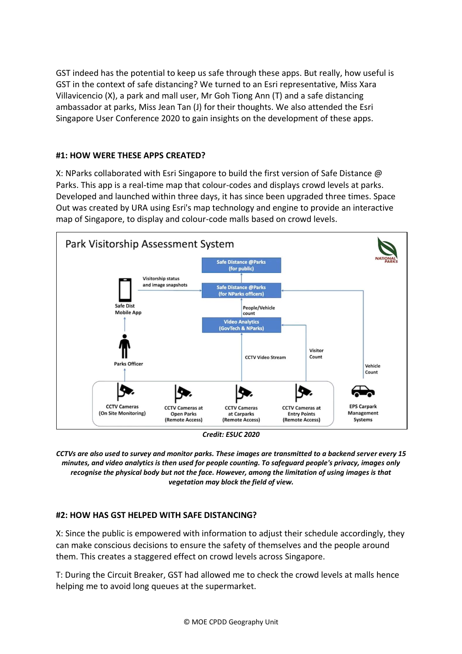GST indeed has the potential to keep us safe through these apps. But really, how useful is GST in the context of safe distancing? We turned to an Esri representative, Miss Xara Villavicencio (X), a park and mall user, Mr Goh Tiong Ann (T) and a safe distancing ambassador at parks, Miss Jean Tan (J) for their thoughts. We also attended the [Esri](https://www.google.com/url?q=https%3A%2F%2Fesrisingapore.com.sg%2Fesri-singapore-user-conference-2020&sa=D&sntz=1&usg=AFQjCNFAkwIhF4sk2nuNIc2h1_21-K7awg)  [Singapore User Conference 2020](https://www.google.com/url?q=https%3A%2F%2Fesrisingapore.com.sg%2Fesri-singapore-user-conference-2020&sa=D&sntz=1&usg=AFQjCNFAkwIhF4sk2nuNIc2h1_21-K7awg) to gain insights on the development of these apps.

### **#1: HOW WERE THESE APPS CREATED?**

X: NParks collaborated with Esri Singapore to build the first version of Safe Distance @ Parks. This app is a real-time map that colour-codes and displays crowd levels at parks. Developed and launched within three days, it has since been upgraded three times. Space Out was created by URA using Esri's map technology and engine to provide an interactive map of Singapore, to display and colour-code malls based on crowd levels.



*CCTVs are also used to survey and monitor parks. These images are transmitted to a backend server every 15 minutes, and video analytics is then used for people counting. To safeguard people's privacy, images only recognise the physical body but not the face. However, among the limitation of using images is that vegetation may block the field of view.*

#### **#2: HOW HAS GST HELPED WITH SAFE DISTANCING?**

X: Since the public is empowered with information to adjust their schedule accordingly, they can make conscious decisions to ensure the safety of themselves and the people around them. This creates a staggered effect on crowd levels across Singapore.

T: During the Circuit Breaker, GST had allowed me to check the crowd levels at malls hence helping me to avoid long queues at the supermarket.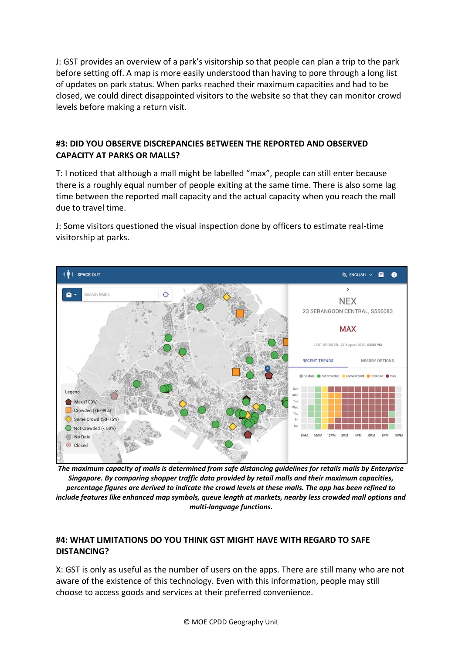J: GST provides an overview of a park's visitorship so that people can plan a trip to the park before setting off. A map is more easily understood than having to pore through a long list of updates on park status. When parks reached their maximum capacities and had to be closed, we could direct disappointed visitors to the website so that they can monitor crowd levels before making a return visit.

#### **#3: DID YOU OBSERVE DISCREPANCIES BETWEEN THE REPORTED AND OBSERVED CAPACITY AT PARKS OR MALLS?**

T: I noticed that although a mall might be labelled "max", people can still enter because there is a roughly equal number of people exiting at the same time. There is also some lag time between the reported mall capacity and the actual capacity when you reach the mall due to travel time.

J: Some visitors questioned the visual inspection done by officers to estimate real-time visitorship at parks.



*The maximum capacity of malls is determined from safe distancing guidelines for retails malls by Enterprise Singapore. By comparing shopper traffic data provided by retail malls and their maximum capacities, percentage figures are derived to indicate the crowd levels at these malls. The app has been refined to include features like enhanced map symbols, queue length at markets, nearby less crowded mall options and multi-language functions.*

### **#4: WHAT LIMITATIONS DO YOU THINK GST MIGHT HAVE WITH REGARD TO SAFE DISTANCING?**

X: GST is only as useful as the number of users on the apps. There are still many who are not aware of the existence of this technology. Even with this information, people may still choose to access goods and services at their preferred convenience.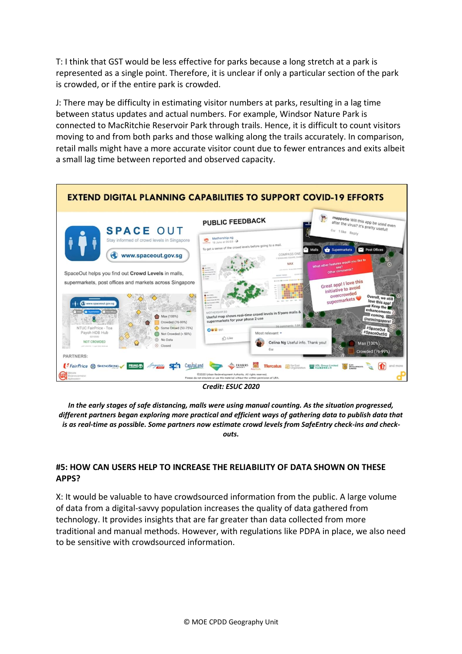T: I think that GST would be less effective for parks because a long stretch at a park is represented as a single point. Therefore, it is unclear if only a particular section of the park is crowded, or if the entire park is crowded.

J: There may be difficulty in estimating visitor numbers at parks, resulting in a lag time between status updates and actual numbers. For example, Windsor Nature Park is connected to MacRitchie Reservoir Park through trails. Hence, it is difficult to count visitors moving to and from both parks and those walking along the trails accurately. In comparison, retail malls might have a more accurate visitor count due to fewer entrances and exits albeit a small lag time between reported and observed capacity.



*In the early stages of safe distancing, malls were using manual counting. As the situation progressed, different partners began exploring more practical and efficient ways of gathering data to publish data that is as real-time as possible. Some partners now estimate crowd levels from SafeEntry check-ins and checkouts.*

#### **#5: HOW CAN USERS HELP TO INCREASE THE RELIABILITY OF DATA SHOWN ON THESE APPS?**

X: It would be valuable to have crowdsourced information from the public. A large volume of data from a digital-savvy population increases the quality of data gathered from technology. It provides insights that are far greater than data collected from more traditional and manual methods. However, with regulations like PDPA in place, we also need to be sensitive with crowdsourced information.